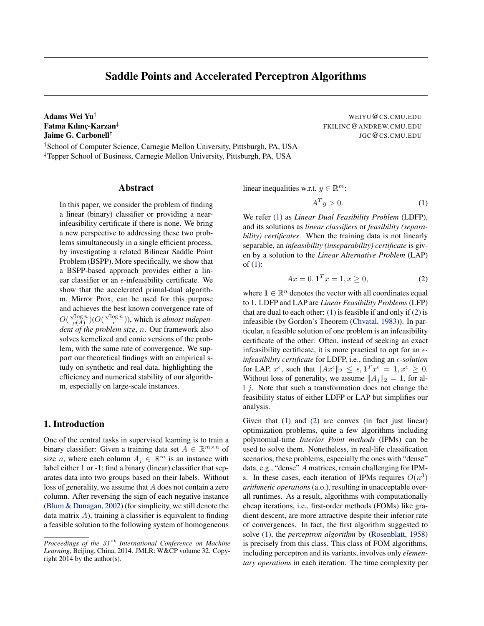# Saddle Points and Accelerated Perceptron Algorithms

<span id="page-0-0"></span>Adams Wei Yu<sup>†</sup> WEIYU@CS.CMU.EDU Fatma Kılınç-Karzan<sup>‡</sup> Jaime G. Carbonell†

†School of Computer Science, Carnegie Mellon University, Pittsburgh, PA, USA ‡Tepper School of Business, Carnegie Mellon University, Pittsburgh, PA, USA

## Abstract

In this paper, we consider the problem of finding a linear (binary) classifier or providing a nearinfeasibility certificate if there is none. We bring a new perspective to addressing these two problems simultaneously in a single efficient process, by investigating a related Bilinear Saddle Point Problem (BSPP). More specifically, we show that a BSPP-based approach provides either a linear classifier or an  $\epsilon$ -infeasibility certificate. We show that the accelerated primal-dual algorithm, Mirror Prox, can be used for this purpose and achieves the best known convergence rate of  $O(\frac{\sqrt{\log n}}{\rho(A)})(O(\frac{\sqrt{\log n}}{\epsilon}))$ , which is *almost independent of the problem size*, n. Our framework also solves kernelized and conic versions of the problem, with the same rate of convergence. We support our theoretical findings with an empirical study on synthetic and real data, highlighting the efficiency and numerical stability of our algorithm, especially on large-scale instances.

# 1. Introduction

One of the central tasks in supervised learning is to train a binary classifier: Given a training data set  $A \in \mathbb{R}^{m \times n}$  of size *n*, where each column  $A_j \in \mathbb{R}^m$  is an instance with label either 1 or -1; find a binary (linear) classifier that separates data into two groups based on their labels. Without loss of generality, we assume that A does not contain a zero column. After reversing the sign of each negative instance [\(Blum & Dunagan,](#page-8-0) [2002\)](#page-8-0) (for simplicity, we still denote the data matrix  $A$ ), training a classifier is equivalent to finding a feasible solution to the following system of homogeneous FKILINC@ANDREW.CMU.EDU JGC@CS.CMU.EDU

linear inequalities w.r.t.  $y \in \mathbb{R}^m$ :

$$
A^T y > 0. \tag{1}
$$

We refer (1) as *Linear Dual Feasibility Problem* (LDFP), and its solutions as *linear classifiers* or *feasibility (separability) certificates*. When the training data is not linearly separable, an *infeasibility (inseparability) certificate* is given by a solution to the *Linear Alternative Problem* (LAP) of  $(1)$ :

$$
Ax = 0, \mathbf{1}^T x = 1, x \ge 0,\tag{2}
$$

where  $\mathbf{1} \in \mathbb{R}^n$  denotes the vector with all coordinates equal to 1. LDFP and LAP are *Linear Feasibility Problems* (LFP) that are dual to each other: (1) is feasible if and only if (2) is infeasible (by Gordon's Theorem [\(Chvatal,](#page-8-0) [1983\)](#page-8-0)). In particular, a feasible solution of one problem is an infeasibility certificate of the other. Often, instead of seeking an exact infeasibility certificate, it is more practical to opt for an  $\epsilon$ *infeasibility certificate* for LDFP, i.e., finding an *-solution* for LAP,  $x^{\epsilon}$ , such that  $||Ax^{\epsilon}||_2 \leq \epsilon$ ,  $\mathbf{1}^T x^{\epsilon} = 1, x^{\epsilon} \geq 0$ . Without loss of generality, we assume  $||A_i||_2 = 1$ , for all j. Note that such a transformation does not change the feasibility status of either LDFP or LAP but simplifies our analysis.

Given that (1) and (2) are convex (in fact just linear) optimization problems, quite a few algorithms including polynomial-time *Interior Point methods* (IPMs) can be used to solve them. Nonetheless, in real-life classification scenarios, these problems, especially the ones with "dense" data, e.g., "dense" A matrices, remain challenging for IPMs. In these cases, each iteration of IPMs requires  $O(n^3)$ *arithmetic operations* (a.o.), resulting in unacceptable overall runtimes. As a result, algorithms with computationally cheap iterations, i.e., first-order methods (FOMs) like gradient descent, are more attractive despite their inferior rate of convergences. In fact, the first algorithm suggested to solve (1), the *perceptron algorithm* by [\(Rosenblatt,](#page-8-0) [1958\)](#page-8-0) is precisely from this class. This class of FOM algorithms, including perceptron and its variants, involves only *elementary operations* in each iteration. The time complexity per

*Proceedings of the 31<sup>st</sup> International Conference on Machine Learning*, Beijing, China, 2014. JMLR: W&CP volume 32. Copyright 2014 by the author(s).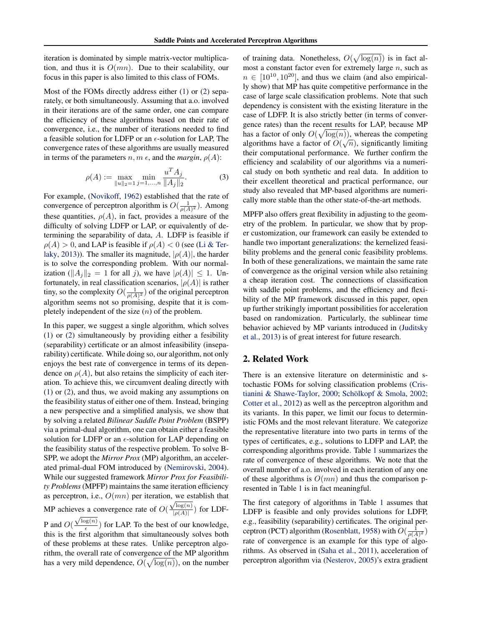<span id="page-1-0"></span>iteration is dominated by simple matrix-vector multiplication, and thus it is  $O(mn)$ . Due to their scalability, our focus in this paper is also limited to this class of FOMs.

Most of the FOMs directly address either [\(1\)](#page-0-0) or [\(2\)](#page-0-0) separately, or both simultaneously. Assuming that a.o. involved in their iterations are of the same order, one can compare the efficiency of these algorithms based on their rate of convergence, i.e., the number of iterations needed to find a feasible solution for LDFP or an  $\epsilon$ -solution for LAP, The convergence rates of these algorithms are usually measured in terms of the parameters  $n, m \in \mathcal{A}$ , and the *margin*,  $\rho(A)$ :

$$
\rho(A) := \max_{\|u\|_2 = 1} \min_{j=1,\dots,n} \frac{u^T A_j}{\|A_j\|_2}.
$$
 (3)

For example, [\(Novikoff,](#page-8-0) [1962\)](#page-8-0) established that the rate of convergence of perceptron algorithm is  $O(\frac{1}{\rho(A)^2})$ . Among these quantities,  $\rho(A)$ , in fact, provides a measure of the difficulty of solving LDFP or LAP, or equivalently of determining the separability of data, A. LDFP is feasible if  $\rho(A) > 0$ , and LAP is feasible if  $\rho(A) < 0$  (see [\(Li & Ter](#page-8-0)[laky,](#page-8-0) [2013\)](#page-8-0)). The smaller its magnitude,  $|\rho(A)|$ , the harder is to solve the corresponding problem. With our normalization ( $||A_j||_2 = 1$  for all j), we have  $|\rho(A)| \leq 1$ . Unfortunately, in real classification scenarios,  $|\rho(A)|$  is rather tiny, so the complexity  $O(\frac{1}{\rho(A)^2})$  of the original perceptron algorithm seems not so promising, despite that it is completely independent of the size  $(n)$  of the problem.

In this paper, we suggest a single algorithm, which solves [\(1\)](#page-0-0) or [\(2\)](#page-0-0) simultaneously by providing either a fesibility (separability) certificate or an almost infeasibility (inseparability) certificate. While doing so, our algorithm, not only enjoys the best rate of convergence in terms of its dependence on  $\rho(A)$ , but also retains the simplicity of each iteration. To achieve this, we circumvent dealing directly with [\(1\)](#page-0-0) or [\(2\)](#page-0-0), and thus, we avoid making any assumptions on the feasibility status of either one of them. Instead, bringing a new perspective and a simplified analysis, we show that by solving a related *Bilinear Saddle Point Problem* (BSPP) via a primal-dual algorithm, one can obtain either a feasible solution for LDFP or an  $\epsilon$ -solution for LAP depending on the feasibility status of the respective problem. To solve B-SPP, we adopt the *Mirror Prox* (MP) algorithm, an accelerated primal-dual FOM introduced by [\(Nemirovski,](#page-8-0) [2004\)](#page-8-0). While our suggested framework *Mirror Prox for Feasibility Problems*(MPFP) maintains the same iteration efficiency as perceptron, i.e.,  $O(mn)$  per iteration, we establish that MP achieves a convergence rate of  $O(\frac{\sqrt{\log(n)}}{\log(\frac{A}{n})}$ ves a convergence rate of  $O(\frac{\sqrt{\log(n)}}{|\rho(A)|})$  for LDF-

**P** and  $O(\frac{\sqrt{\log(n)}}{6})$  $\frac{\log(n)}{\epsilon}$ ) for LAP. To the best of our knowledge, this is the first algorithm that simultaneously solves both of these problems at these rates. Unlike perceptron algorithm, the overall rate of convergence of the MP algorithm has a very mild dependence,  $O(\sqrt{\log(n)})$ , on the number

of training data. Nonetheless,  $O(\sqrt{\log(n)})$  is in fact almost a constant factor even for extremely large  $n$ , such as  $n \in [10^{10}, 10^{20}]$ , and thus we claim (and also empirically show) that MP has quite competitive performance in the case of large scale classification problems. Note that such dependency is consistent with the existing literature in the case of LDFP. It is also strictly better (in terms of convergence rates) than the recent results for LAP, because MP has a factor of only  $O(\sqrt{\log(n)})$ , whereas the competing algorithms have a factor of  $O(\sqrt{n})$ , significantly limiting their computational performance. We further confirm the efficiency and scalability of our algorithms via a numerical study on both synthetic and real data. In addition to their excellent theoretical and practical performance, our study also revealed that MP-based algorithms are numerically more stable than the other state-of-the-art methods.

MPFP also offers great flexibility in adjusting to the geometry of the problem. In particular, we show that by proper customization, our framework can easily be extended to handle two important generalizations: the kernelized feasibility problems and the general conic feasibility problems. In both of these generalizations, we maintain the same rate of convergence as the original version while also retaining a cheap iteration cost. The connections of classification with saddle point problems, and the efficiency and flexibility of the MP framework discussed in this paper, open up further strikingly important possibilities for acceleration based on randomization. Particularly, the sublinear time behavior achieved by MP variants introduced in [\(Juditsky](#page-8-0) [et al.,](#page-8-0) [2013\)](#page-8-0) is of great interest for future research.

# 2. Related Work

There is an extensive literature on deterministic and stochastic FOMs for solving classification problems [\(Cris](#page-8-0)[tianini & Shawe-Taylor,](#page-8-0) [2000;](#page-8-0) Schölkopf & Smola, [2002;](#page-8-0) [Cotter et al.,](#page-8-0) [2012\)](#page-8-0) as well as the perceptron algorithm and its variants. In this paper, we limit our focus to deterministic FOMs and the most relevant literature. We categorize the representative literature into two parts in terms of the types of certificates, e.g., solutions to LDFP and LAP, the corresponding algorithms provide. Table [1](#page-2-0) summarizes the rate of convergence of these algorithms. We note that the overall number of a.o. involved in each iteration of any one of these algorithms is  $O(mn)$  and thus the comparison presented in Table [1](#page-2-0) is in fact meaningful.

The first category of algorithms in Table [1](#page-2-0) assumes that LDFP is feasible and only provides solutions for LDFP, e.g., feasibility (separability) certificates. The original per-ceptron (PCT) algorithm [\(Rosenblatt,](#page-8-0) [1958\)](#page-8-0) with  $O(\frac{1}{\rho(A)^2})$ rate of convergence is an example for this type of algorithms. As observed in [\(Saha et al.,](#page-8-0) [2011\)](#page-8-0), acceleration of perceptron algorithm via [\(Nesterov,](#page-8-0) [2005\)](#page-8-0)'s extra gradient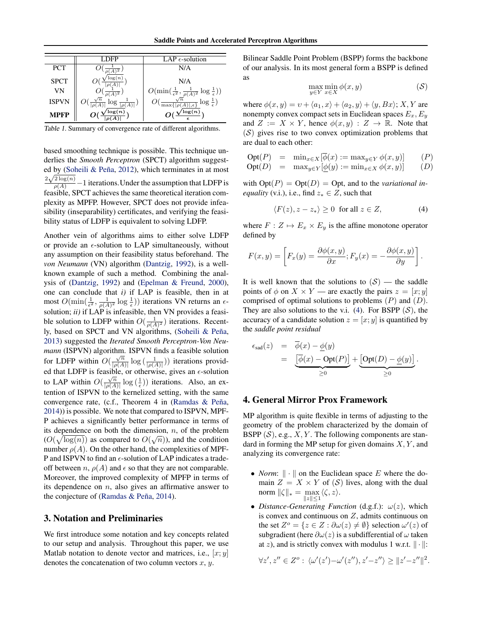<span id="page-2-0"></span>

|              | DEP | LAP $\epsilon$ -solution                                                     |  |
|--------------|-----|------------------------------------------------------------------------------|--|
| <b>PCT</b>   |     | N/A                                                                          |  |
| <b>SPCT</b>  |     | N/A                                                                          |  |
| VN           |     | $O(\min(\frac{1}{\epsilon^2}, \frac{1}{\rho(A)^2} \log \frac{1}{\epsilon}))$ |  |
| <b>ISPVN</b> |     | $\log \frac{1}{\epsilon}$ )                                                  |  |
| MPFP         | log | Е                                                                            |  |

Table 1. Summary of convergence rate of different algorithms.

based smoothing technique is possible. This technique underlies the *Smooth Perceptron* (SPCT) algorithm suggest-ed by (Soheili & Peña, [2012\)](#page-8-0), which terminates in at most  $\frac{2\sqrt{2}\log(n)}{\rho(A)}$  – 1 iterations. Under the assumption that LDFP is feasible, SPCT achieves the same theoretical iteration complexity as MPFP. However, SPCT does not provide infeasibility (inseparability) certificates, and verifying the feasibility status of LDFP is equivalent to solving LDFP.

Another vein of algorithms aims to either solve LDFP or provide an  $\epsilon$ -solution to LAP simultaneously, without any assumption on their feasibility status beforehand. The *von Neumann* (VN) algorithm [\(Dantzig,](#page-8-0) [1992\)](#page-8-0), is a wellknown example of such a method. Combining the analysis of [\(Dantzig,](#page-8-0) [1992\)](#page-8-0) and [\(Epelman & Freund,](#page-8-0) [2000\)](#page-8-0), one can conclude that *i)* if LAP is feasible, then in at most  $O(\min(\frac{1}{\epsilon^2}, \frac{1}{\rho(A)^2} \log \frac{1}{\epsilon}))$  iterations VN returns an  $\epsilon$ solution; *ii*) if LAP is infeasible, then VN provides a feasible solution to LDFP within  $O(\frac{1}{\rho(A)^2})$  iterations. Recently, based on SPCT and VN algorithms, (Soheili & Peña, [2013\)](#page-8-0) suggested the *Iterated Smooth Perceptron-Von Neumann* (ISPVN) algorithm. ISPVN finds a feasible solution for LDFP within  $O(\frac{\sqrt{n}}{\log A})$  $\frac{\sqrt{n}}{|\rho(A)|} \log \left( \frac{1}{|\rho(A)|} \right)$  iterations provided that LDFP is feasible, or otherwise, gives an  $\epsilon$ -solution to LAP within  $O(\frac{\sqrt{n}}{\log A})$  $\frac{\sqrt{n}}{|\rho(A)|} \log(\frac{1}{\epsilon})$  iterations. Also, an extention of ISPVN to the kernelized setting, with the same convergence rate, (c.f., Theorem 4 in (Ramdas  $\&$  Peña, [2014\)](#page-8-0)) is possible. We note that compared to ISPVN, MPF-P achieves a significantly better performance in terms of its dependence on both the dimension, *n*, of the problem  $(O(\sqrt{\log(n)})$  as compared to  $O(\sqrt{n}))$ , and the condition number  $\rho(A)$ . On the other hand, the complexities of MPF-P and ISPVN to find an  $\epsilon$ -solution of LAP indicates a tradeoff between  $n, \rho(A)$  and  $\epsilon$  so that they are not comparable. Moreover, the improved complexity of MPFP in terms of its dependence on  $n$ , also gives an affirmative answer to the conjecture of (Ramdas & Peña, [2014\)](#page-8-0).

# 3. Notation and Preliminaries

We first introduce some notation and key concepts related to our setup and analysis. Throughout this paper, we use Matlab notation to denote vector and matrices, i.e.,  $[x; y]$ denotes the concatenation of two column vectors  $x, y$ .

Bilinear Saddle Point Problem (BSPP) forms the backbone of our analysis. In its most general form a BSPP is defined as

$$
\max_{y \in Y} \min_{x \in X} \phi(x, y) \tag{S}
$$

where  $\phi(x, y) = v + \langle a_1, x \rangle + \langle a_2, y \rangle + \langle y, Bx \rangle$ ; X, Y are nonempty convex compact sets in Euclidean spaces  $E_x, E_y$ and  $Z := X \times Y$ , hence  $\phi(x, y) : Z \to \mathbb{R}$ . Note that  $(S)$  gives rise to two convex optimization problems that are dual to each other:

$$
\begin{array}{rcl}\n\text{Opt}(P) & = & \min_{x \in X} [\overline{\phi}(x) := \max_{y \in Y} \phi(x, y)] \\
\text{Opt}(D) & = & \max_{y \in Y} [\phi(y) := \min_{x \in X} \phi(x, y)] \\
\end{array} \tag{P}
$$

with  $\text{Opt}(P) = \text{Opt}(D) = \text{Opt}$ , and to the *variational inequality* (v.i.), i.e., find  $z_* \in Z$ , such that

$$
\langle F(z), z - z_* \rangle \ge 0 \quad \text{for all } z \in Z,\tag{4}
$$

where  $F : Z \mapsto E_x \times E_y$  is the affine monotone operator defined by

$$
F(x,y) = \left[ F_x(y) = \frac{\partial \phi(x,y)}{\partial x}; F_y(x) = -\frac{\partial \phi(x,y)}{\partial y} \right].
$$

It is well known that the solutions to  $(S)$  — the saddle points of  $\phi$  on  $X \times Y$  — are exactly the pairs  $z = [x, y]$ comprised of optimal solutions to problems  $(P)$  and  $(D)$ . They are also solutions to the v.i. (4). For BSPP  $(S)$ , the accuracy of a candidate solution  $z = [x, y]$  is quantified by the *saddle point residual*

$$
\epsilon_{\text{sad}}(z) = \overline{\phi}(x) - \underline{\phi}(y)
$$
  
= 
$$
\underbrace{\left[\overline{\phi}(x) - \text{Opt}(P)\right]}_{\geq 0} + \underbrace{\left[\text{Opt}(D) - \underline{\phi}(y)\right]}_{\geq 0}.
$$

# 4. General Mirror Prox Framework

MP algorithm is quite flexible in terms of adjusting to the geometry of the problem characterized by the domain of BSPP  $(S)$ , e.g.,  $X, Y$ . The following components are standard in forming the MP setup for given domains  $X, Y$ , and analyzing its convergence rate:

- *Norm*:  $\|\cdot\|$  on the Euclidean space E where the domain  $Z = X \times Y$  of  $(S)$  lives, along with the dual norm  $\|\zeta\|_* = \max_{\zeta} \langle \zeta, z \rangle$ .  $||z|| \leq 1$
- *Distance-Generating Function* (d.g.f.):  $\omega(z)$ , which is convex and continuous on  $Z$ , admits continuous on the set  $Z^{\circ} = \{ z \in Z : \partial \omega(z) \neq \emptyset \}$  selection  $\omega'(z)$  of subgradient (here  $\partial \omega(z)$  is a subdifferential of  $\omega$  taken at z), and is strictly convex with modulus 1 w.r.t.  $\|\cdot\|$ :

$$
\forall z', z'' \in Z^o: \langle \omega'(z') - \omega'(z''), z' - z'' \rangle \ge ||z' - z''||^2.
$$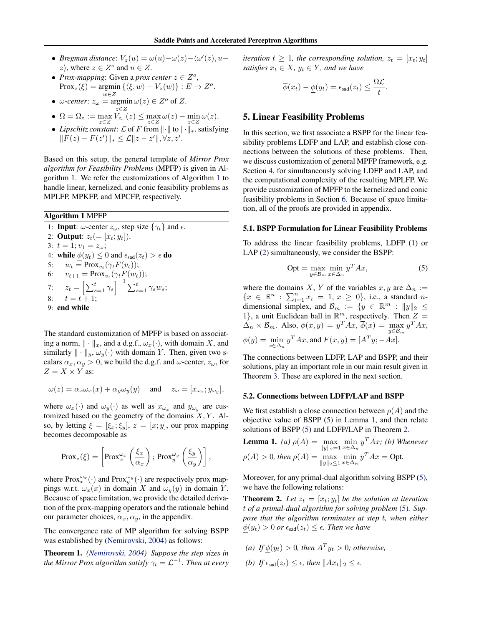- <span id="page-3-0"></span>• *Bregman distance*:  $V_z(u) = \omega(u) - \omega(z) - \langle \omega'(z), u - \rangle$  $z$ , where  $z \in Z^{\circ}$  and  $u \in Z$ .
- *Prox-mapping*: Given a *prox center*  $z \in Z^o$ , Prox<sub>z</sub>( $\xi$ ) = argmin { $\langle \xi, w \rangle + V_z(w)$ } :  $E \to Z^o$ .  $w \in Z$
- $\omega$ -center:  $z_{\omega} = \operatorname{argmin} \omega(z) \in Z^{\circ}$  of Z.
- $\Omega = \Omega_z := \max_{z \in Z} V_{z_{\omega}}(z) \leq \max_{z \in Z} \omega(z) \min_{z \in Z} \omega(z).$
- *Lipschitz constant: £* of *F* from  $\|\cdot\|$  to  $\|\cdot\|_*$ , satisfying  $||F(z) - F(z')||_* \leq \mathcal{L}||z - z'||, \forall z, z'.$

Based on this setup, the general template of *Mirror Prox algorithm for Feasibility Problems* (MPFP) is given in Algorithm 1. We refer the customizations of Algorithm 1 to handle linear, kernelized, and conic feasibility problems as MPLFP, MPKFP, and MPCFP, respectively.

#### Algorithm 1 MPFP

1: **Input**:  $\omega$ -center  $z_{\omega}$ , step size  $\{\gamma_t\}$  and  $\epsilon$ . 2: **Output**:  $z_t (= [x_t; y_t]).$ 3:  $t = 1; v_1 = z_\omega;$ 4: **while**  $\phi(y_t) \leq 0$  and  $\epsilon_{\text{sad}}(z_t) > \epsilon$  **do** 5:  $w_t = \text{Prox}_{v_t}(\gamma_t F(v_t));$ 6:  $v_{t+1} = \text{Prox}_{v_t}(\gamma_t F(w_t));$ 7:  $z_t = \left[ \sum_{s=1}^t \gamma_s \right]^{-1} \sum_{s=1}^t \gamma_s w_s;$ 8:  $t = t + 1;$ 9: end while

The standard customization of MPFP is based on associating a norm,  $\|\cdot\|_x$ , and a d.g.f.,  $\omega_x(\cdot)$ , with domain X, and similarly  $\|\cdot\|_y, \omega_y(\cdot)$  with domain Y. Then, given two scalars  $\alpha_x, \alpha_y > 0$ , we build the d.g.f. and  $\omega$ -center,  $z_\omega$ , for  $Z = X \times Y$  as:

$$
\omega(z) = \alpha_x \omega_x(x) + \alpha_y \omega_y(y) \quad \text{ and } \quad z_\omega = [x_{\omega_x}; y_{\omega_y}],
$$

where  $\omega_x(\cdot)$  and  $\omega_y(\cdot)$  as well as  $x_{\omega_x}$  and  $y_{\omega_y}$  are customized based on the geometry of the domains  $X, Y$ . Also, by letting  $\xi = [\xi_x; \xi_y], z = [x; y]$ , our prox mapping becomes decomposable as

$$
\text{Prox}_{z}(\xi) = \left[ \text{Prox}_{x}^{\omega_{x}} \left( \frac{\xi_{x}}{\alpha_{x}} \right); \text{Prox}_{y}^{\omega_{y}} \left( \frac{\xi_{y}}{\alpha_{y}} \right) \right],
$$

where  $Prox_x^{\omega_x}(\cdot)$  and  $Prox_y^{\omega_y}(\cdot)$  are respectively prox mappings w.r.t.  $\omega_x(x)$  in domain X and  $\omega_y(y)$  in domain Y. Because of space limitation, we provide the detailed derivation of the prox-mapping operators and the rationale behind our parameter choices,  $\alpha_x, \alpha_y$ , in the appendix.

The convergence rate of MP algorithm for solving BSPP was established by [\(Nemirovski,](#page-8-0) [2004\)](#page-8-0) as follows:

Theorem 1. *[\(Nemirovski,](#page-8-0) [2004\)](#page-8-0) Suppose the step sizes in* the Mirror Prox algorithm satisfy  $\gamma_t = \mathcal{L}^{-1}.$  Then at every *iteration*  $t \geq 1$ *, the corresponding solution,*  $z_t = [x_t; y_t]$ *satisfies*  $x_t \in X$ *,*  $y_t \in Y$ *, and we have* 

$$
\overline{\phi}(x_t) - \underline{\phi}(y_t) = \epsilon_{\text{sad}}(z_t) \leq \frac{\Omega \mathcal{L}}{t}.
$$

# 5. Linear Feasibility Problems

In this section, we first associate a BSPP for the linear feasibility problems LDFP and LAP, and establish close connections between the solutions of these problems. Then, we discuss customization of general MPFP framework, e.g. Section [4,](#page-2-0) for simultaneously solving LDFP and LAP, and the computational complexity of the resulting MPLFP. We provide customization of MPFP to the kernelized and conic feasibility problems in Section [6.](#page-4-0) Because of space limitation, all of the proofs are provided in appendix.

#### 5.1. BSPP Formulation for Linear Feasibility Problems

To address the linear feasibility problems, LDFP [\(1\)](#page-0-0) or LAP [\(2\)](#page-0-0) simultaneously, we consider the BSPP:

$$
Opt = \max_{y \in \mathcal{B}_m} \min_{x \in \Delta_n} y^T A x,\tag{5}
$$

where the domains X, Y of the variables  $x, y$  are  $\Delta_n :=$  ${x \in \mathbb{R}^n : \sum_{i=1}^n x_i = 1, x \ge 0}, \text{ i.e., a standard } n$ dimensional simplex, and  $\mathcal{B}_m := \{ y \in \mathbb{R}^m : ||y||_2 \leq$ 1}, a unit Euclidean ball in  $\mathbb{R}^m$ , respectively. Then  $Z =$  $\Delta_n \times \mathcal{B}_m$ . Also,  $\phi(x, y) = y^T A x, \overline{\phi}(x) = \max_{y \in \mathcal{B}_m} y^T A x,$  $\underline{\phi}(y) = \min_{x \in \Delta_n} y^T A x$ , and  $F(x, y) = [A^T y; -A x]$ .

The connections between LDFP, LAP and BSPP, and their solutions, play an important role in our main result given in Theorem [3.](#page-4-0) These are explored in the next section.

#### 5.2. Connections between LDFP/LAP and BSPP

We first establish a close connection between  $\rho(A)$  and the objective value of BSPP (5) in Lemma 1, and then relate solutions of BSPP (5) and LDFP/LAP in Theorem 2.

**Lemma 1.** (a) 
$$
\rho(A) = \max_{\|y\|_2 = 1} \min_{x \in \Delta_n} y^T A x
$$
; (b) Whenever  $\rho(A) > 0$ , then  $\rho(A) = \max_{\|y\|_2 \leq 1} \min_{x \in \Delta_n} y^T A x = \text{Opt.}$ 

Moreover, for any primal-dual algorithm solving BSPP (5), we have the following relations:

**Theorem 2.** Let  $z_t = [x_t; y_t]$  be the solution at iteration t *of a primal-dual algorithm for solving problem* (5)*. Suppose that the algorithm terminates at step* t*, when either*  $\phi(y_t) > 0$  or  $\epsilon_{\text{sad}}(z_t) \leq \epsilon$ . Then we have

- *(a) If*  $\phi(y_t) > 0$ *, then*  $A^T y_t > 0$ *; otherwise,*
- *(b) If*  $\epsilon_{\text{sad}}(z_t) \leq \epsilon$ *, then*  $||Ax_t||_2 \leq \epsilon$ *.*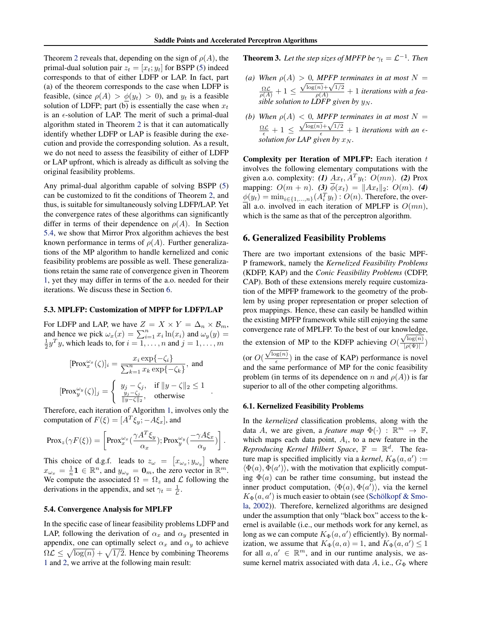<span id="page-4-0"></span>Theorem [2](#page-3-0) reveals that, depending on the sign of  $\rho(A)$ , the primal-dual solution pair  $z_t = [x_t; y_t]$  for BSPP [\(5\)](#page-3-0) indeed corresponds to that of either LDFP or LAP. In fact, part (a) of the theorem corresponds to the case when LDFP is feasible, (since  $\rho(A) > \phi(y_t) > 0$ ), and  $y_t$  is a feasible solution of LDFP; part (b) is essentially the case when  $x_t$ is an  $\epsilon$ -solution of LAP. The merit of such a primal-dual algorithm stated in Theorem [2](#page-3-0) is that it can automatically identify whether LDFP or LAP is feasible during the execution and provide the corresponding solution. As a result, we do not need to assess the feasibility of either of LDFP or LAP upfront, which is already as difficult as solving the original feasibility problems.

Any primal-dual algorithm capable of solving BSPP [\(5\)](#page-3-0) can be customized to fit the conditions of Theorem [2,](#page-3-0) and thus, is suitable for simultaneously solving LDFP/LAP. Yet the convergence rates of these algorithms can significantly differ in terms of their dependence on  $\rho(A)$ . In Section 5.4, we show that Mirror Prox algorithm achieves the best known performance in terms of  $\rho(A)$ . Further generalizations of the MP algorithm to handle kernelized and conic feasibility problems are possible as well. These generalizations retain the same rate of convergence given in Theorem [1,](#page-3-0) yet they may differ in terms of the a.o. needed for their iterations. We discuss these in Section 6.

#### 5.3. MPLFP: Customization of MPFP for LDFP/LAP

For LDFP and LAP, we have  $Z = X \times Y = \Delta_n \times \mathcal{B}_m$ , and hence we pick  $\omega_x(x) = \sum_{i=1}^n x_i \ln(x_i)$  and  $\omega_y(y) = \frac{1}{2} y^T y$ , which leads to, for  $i = 1, ..., n$  and  $j = 1, ..., m$ 

$$
[\text{Prox}_x^{\omega_x}(\zeta)]_i = \frac{x_i \exp\{-\zeta_i\}}{\sum_{k=1}^n x_k \exp\{-\zeta_k\}}, \text{ and}
$$

$$
[\text{Prox}_y^{\omega_y}(\zeta)]_j = \begin{cases} y_j - \zeta_j, & \text{if } ||y - \zeta||_2 \le 1 \\ \frac{y_j - \zeta_j}{||y - \zeta||_2}, & \text{otherwise} \end{cases}.
$$

Therefore, each iteration of Algorithm [1,](#page-3-0) involves only the computation of  $F(\xi) = [A^T \xi_{y}; -A \xi_{x}]$ , and

$$
\text{Prox}_z(\gamma F(\xi)) = \left[ \text{Prox}_x^{\omega_x}(\frac{\gamma A^T \xi_y}{\alpha_x}); \text{Prox}_y^{\omega_y}(\frac{-\gamma A \xi_x}{\alpha_y}) \right].
$$

This choice of d.g.f. leads to  $z_{\omega} = [x_{\omega_x}; y_{\omega_y}]$  where  $x_{\omega_x} = \frac{1}{n} \mathbf{1} \in \mathbb{R}^n$ , and  $y_{\omega_y} = \mathbf{0}_m$ , the zero vector in  $\mathbb{R}^m$ . We compute the associated  $\Omega = \Omega_z$  and  $\mathcal L$  following the derivations in the appendix, and set  $\gamma_t = \frac{1}{\mathcal{L}}$ .

#### 5.4. Convergence Analysis for MPLFP

In the specific case of linear feasibility problems LDFP and LAP, following the derivation of  $\alpha_x$  and  $\alpha_y$  presented in appendix, one can optimally select  $\alpha_x$  and  $\alpha_y$  to achieve  $\Omega \mathcal{L} \leq \sqrt{\log(n)} + \sqrt{1/2}$ . Hence by combining Theorems [1](#page-3-0) and [2,](#page-3-0) we arrive at the following main result:

**Theorem 3.** Let the step sizes of MPFP be  $\gamma_t = \mathcal{L}^{-1}$ . Then

- (a) When  $\rho(A) > 0$ , MPFP terminates in at most  $N =$  $\frac{\Omega \mathcal{L}}{\rho(A)}+1 \leq$  $\frac{\log(n)+\sqrt{1/2}}{\log(n)+\sqrt{1/2}}+1$  *iterations with a feasible solution to LDFP given by*  $y_N$ *.*
- *(b)* When  $\rho(A) < 0$ , MPFP terminates in at most  $N =$  $\frac{\Omega \mathcal{L}}{\epsilon} + 1 \leq$  $\frac{\sqrt{\log(n)} + \sqrt{1/2}}{\epsilon} + 1$  *iterations with an*  $\epsilon$ *solution for LAP given by*  $x_N$ *.*

Complexity per Iteration of MPLFP: Each iteration  $t$ involves the following elementary computations with the given a.o. complexity: (1)  $Ax_t$ ,  $A^T y_t$ :  $O(mn)$ . (2) Prox mapping:  $O(m + n)$ . **(3)**  $\overline{\phi}(x_t) = ||Ax_t||_2$ :  $O(m)$ . **(4)**  $\underline{\phi}(y_t) = \min_{i \in \{1, ..., n\}} (A_i^T y_t) : O(n).$  Therefore, the overall a.o. involved in each iteration of MPLFP is  $O(mn)$ , which is the same as that of the perceptron algorithm.

#### 6. Generalized Feasibility Problems

There are two important extensions of the basic MPF-P framework, namely the *Kernelized Feasibility Problems* (KDFP, KAP) and the *Conic Feasibility Problems* (CDFP, CAP). Both of these extensions merely require customization of the MPFP framework to the geometry of the problem by using proper representation or proper selection of prox mappings. Hence, these can easily be handled within the existing MPFP framework while still enjoying the same convergence rate of MPLFP. To the best of our knowledge, √ the extension of MP to the KDFP achieving  $O(\frac{\sqrt{\log(n)}}{\log(N)})$ ension of MP to the KDFP achieving  $O(\frac{\sqrt{\log(n)}}{|\rho(\Psi)|})$ (or  $O(\frac{\sqrt{\log(n)}}{\epsilon})$  $\frac{\partial g(h)}{\partial \epsilon}$ ) in the case of KAP) performance is novel and the same performance of MP for the conic feasibility problem (in terms of its dependence on n and  $\rho(A)$ ) is far

# superior to all of the other competing algorithms.

#### 6.1. Kernelized Feasibility Problems

In the *kernelized* classification problems, along with the data A, we are given, a *feature map*  $\Phi(\cdot)$  :  $\mathbb{R}^m \to \mathbb{F}$ , which maps each data point,  $A_i$ , to a new feature in the Reproducing Kernel Hilbert Space,  $\mathbb{F} = \mathbb{R}^d$ . The feature map is specified implicitly via a *kernel*,  $K_{\Phi}(a, a') :=$  $\langle \Phi(a), \Phi(a') \rangle$ , with the motivation that explicitly computing  $\Phi(a)$  can be rather time consuming, but instead the inner product computation,  $\langle \Phi(a), \Phi(a') \rangle$ , via the kernel  $K_{\Phi}(a, a')$  is much easier to obtain (see (Schölkopf & Smo[la,](#page-8-0) [2002\)](#page-8-0)). Therefore, kernelized algorithms are designed under the assumption that only "black box" access to the kernel is available (i.e., our methods work for any kernel, as long as we can compute  $K_{\Phi}(a, a')$  efficiently). By normalization, we assume that  $K_{\Phi}(a, a) = 1$ , and  $K_{\Phi}(a, a') \le 1$ for all  $a, a' \in \mathbb{R}^m$ , and in our runtime analysis, we assume kernel matrix associated with data  $A$ , i.e.,  $G_{\Phi}$  where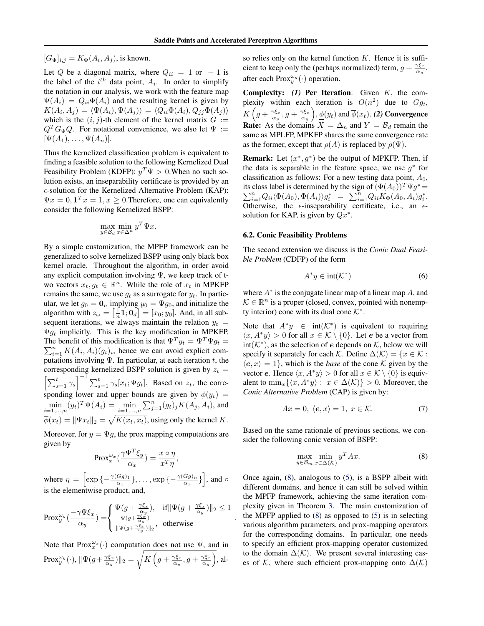.

 $[G_{\Phi}]_{i,j} = K_{\Phi}(A_i, A_j)$ , is known.

Let Q be a diagonal matrix, where  $Q_{ii} = 1$  or  $-1$  is the label of the  $i^{th}$  data point,  $A_i$ . In order to simplify the notation in our analysis, we work with the feature map  $\Psi(A_i) = Q_{ii} \Phi(A_i)$  and the resulting kernel is given by  $K(A_i, A_j) = \langle \Psi(A_i), \Psi(A_j) \rangle = \langle Q_{ii} \Phi(A_i), Q_{jj} \Phi(A_j) \rangle$ which is the  $(i, j)$ -th element of the kernel matrix  $G :=$  $Q^T G_{\Phi} Q$ . For notational convenience, we also let  $\Psi :=$  $[\Psi(A_1), \ldots, \Psi(A_n)].$ 

Thus the kernelized classification problem is equivalent to finding a feasible solution to the following Kernelized Dual Feasibility Problem (KDFP):  $y^T \Psi > 0$ . When no such solution exists, an inseparability certificate is provided by an  $\epsilon$ -solution for the Kernelized Alternative Problem (KAP):  $\Psi x = 0, \mathbf{1}^T x = 1, x \ge 0$ . Therefore, one can equivalently consider the following Kernelized BSPP:

$$
\max_{y \in \mathcal{B}_d} \min_{x \in \Delta^n} y^T \Psi x.
$$

By a simple customization, the MPFP framework can be generalized to solve kernelized BSPP using only black box kernel oracle. Throughout the algorithm, in order avoid any explicit computation involving  $\Psi$ , we keep track of two vectors  $x_t, g_t \in \mathbb{R}^n$ . While the role of  $x_t$  in MPKFP remains the same, we use  $q_t$  as a surrogate for  $y_t$ . In particular, we let  $g_0 = \mathbf{0}_n$  implying  $y_0 = \Psi g_0$ , and initialize the algorithm with  $z_{\omega} = \left[\frac{1}{n}\mathbf{1}; \mathbf{0}_d\right] = [x_0; y_0]$ . And, in all subsequent iterations, we always maintain the relation  $y_t$  =  $\Psi g_t$  implicitly. This is the key modification in MPKFP. The benefit of this modification is that  $\Psi^T y_t = \Psi^T \Psi g_t =$  $\sum_{i=1}^{n} K(A_i, A_i)(g_t)_i$ , hence we can avoid explicit computations involving  $\Psi$ . In particular, at each iteration t, the corresponding kernelized BSPP solution is given by  $z_t =$  $\left[\sum_{s=1}^t \gamma_s\right]^{-1} \sum_{s=1}^t \gamma_s[x_t; \Psi g_t]$ . Based on  $z_t$ , the corresponding lower and upper bounds are given by  $\phi(y_t)$  =  $\min_{i=1,...,n} (y_i)^T \Psi(A_i) = \min_{i=1,...,n} \sum_{j=1}^n (g_i)_j K(A_j, \overline{A}_i)$ , and  $\overline{\phi}(x_t) = ||\Psi x_t||_2 = \sqrt{K(x_t, x_t)}$ , using only the kernel K.

Moreover, for  $y = \Psi g$ , the prox mapping computations are given by

$$
Prox_x^{\omega_x}(\frac{\gamma \Psi^T \xi_y}{\alpha_x}) = \frac{x \circ \eta}{x^T \eta},
$$

where  $\eta = \left[ \exp \left\{ -\frac{\gamma(Gg)_1}{\alpha_x} \right\}, \dots, \exp \left\{ -\frac{\gamma(Gg)_n}{\alpha_x} \right\} \right]$ , and  $\circ$ is the elementwise product, and,

$$
\text{Prox}_{y}^{\omega_{y}}(\frac{-\gamma \Psi \xi_{x}}{\alpha_{y}})=\left\{\begin{array}{ll}\Psi(g+\frac{\gamma \xi_{x}}{\alpha_{y}}),& \text{ if } \|\Psi(g+\frac{\gamma \xi_{x}}{\alpha_{y}})\|_{2}\leq 1 \\ \frac{\Psi(g+\frac{\gamma \xi_{x}}{\alpha_{y}})}{\|\Psi(g+\frac{\gamma \xi_{x}}{\alpha_{y}})\|_{2}},& \text{ otherwise}\end{array}\right.
$$

Note that  $Prox_x^{\omega_x}(\cdot)$  computation does not use  $\Psi$ , and in  $\text{Prox}_y^{\omega_y}(\cdot), \| \Psi(g + \tfrac{\gamma \xi_x}{\alpha_y}) \|_2 = \sqrt{K\left(g + \tfrac{\gamma \xi_x}{\alpha_y}, g + \tfrac{\gamma \xi_x}{\alpha_y}\right)}, \text{all-}$  so relies only on the kernel function  $K$ . Hence it is sufficient to keep only the (perhaps normalized) term,  $g + \frac{\gamma \xi_x}{\alpha_y}$ , after each Prox $_{y}^{\omega_{y}}(\cdot)$  operation.

Complexity: *(1)* Per Iteration: Given K, the complexity within each iteration is  $O(n^2)$  due to  $Gg_t$ ,  $K\left(g+\frac{\gamma\xi_x}{\alpha_y},g+\frac{\gamma\xi_x}{\alpha_y}\right)\!,\underline{\phi}(y_t)$  and  $\overline{\phi}(x_t)$ . (2) Convergence **Rate:** As the domains  $X = \Delta_n$  and  $Y = \mathcal{B}_d$  remain the same as MPLFP, MPKFP shares the same convergence rate as the former, except that  $\rho(A)$  is replaced by  $\rho(\Psi)$ .

**Remark:** Let  $(x^*, g^*)$  be the output of MPKFP. Then, if the data is separable in the feature space, we use  $g^*$  for classification as follows: For a new testing data point,  $A_0$ , its class label is determined by the sign of  $(\Phi(A_0))^T \Psi g^* =$  $\sum_{i=1}^{n} Q_{ii} \langle \Phi(A_0), \Phi(A_i) \rangle g_i^* = \sum_{i=1}^{n} Q_{ii} K_{\Phi}(A_0, A_i) g_i^*.$ Otherwise, the  $\epsilon$ -inseparability certificate, i.e., an  $\epsilon$ solution for KAP, is given by  $Qx^*$ .

#### 6.2. Conic Feasibility Problems

The second extension we discuss is the *Conic Dual Feasible Problem* (CDFP) of the form

$$
A^*y \in \text{int}(\mathcal{K}^*)\tag{6}
$$

where  $A^*$  is the conjugate linear map of a linear map  $A$ , and  $\mathcal{K} \in \mathbb{R}^n$  is a proper (closed, convex, pointed with nonempty interior) cone with its dual cone  $K^*$ .

Note that  $A^*y \in \text{int}(\mathcal{K}^*)$  is equivalent to requiring  $\langle x, A^*y \rangle > 0$  for all  $x \in \mathcal{K} \setminus \{0\}$ . Let e be a vector from int( $K^*$ ), as the selection of e depends on  $K$ , below we will specify it separately for each K. Define  $\Delta(K) = \{x \in K :$  $\langle e, x \rangle = 1$ , which is the *base* of the cone K given by the vector e. Hence  $\langle x, A^*y \rangle > 0$  for all  $x \in \mathcal{K} \setminus \{0\}$  is equivalent to  $\min_x \{ \langle x, A^*y \rangle : x \in \Delta(\mathcal{K}) \} > 0$ . Moreover, the *Conic Alternative Problem* (CAP) is given by:

$$
Ax = 0, \langle e, x \rangle = 1, x \in \mathcal{K}.
$$
 (7)

Based on the same rationale of previous sections, we consider the following conic version of BSPP:

$$
\max_{y \in \mathcal{B}_m} \min_{x \in \Delta(\mathcal{K})} y^T A x.
$$
 (8)

Once again, (8), analogous to [\(5\)](#page-3-0), is a BSPP albeit with different domains, and hence it can still be solved within the MPFP framework, achieving the same iteration complexity given in Theorem [3.](#page-4-0) The main customization of the MPFP applied to  $(8)$  as opposed to  $(5)$  is in selecting various algorithm parameters, and prox-mapping operators for the corresponding domains. In particular, one needs to specify an efficient prox-mapping operator customized to the domain  $\Delta(\mathcal{K})$ . We present several interesting cases of  $K$ , where such efficient prox-mapping onto  $\Delta(K)$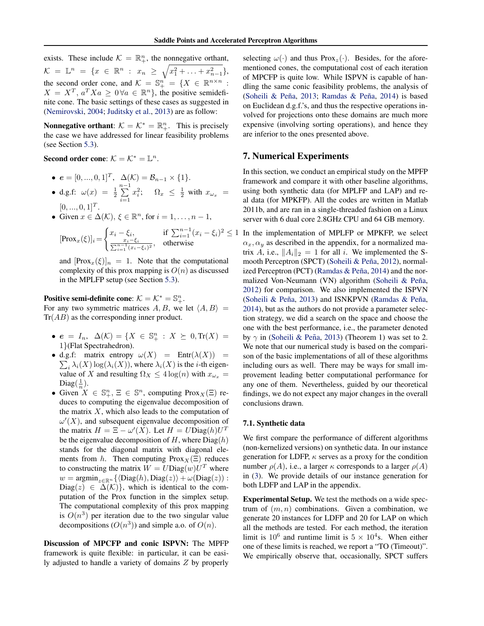exists. These include  $K = \mathbb{R}^n_+$ , the nonnegative orthant,  $\mathcal{K} = \mathbb{L}^n = \{x \in \mathbb{R}^n : x_n \geq \sqrt{x_1^2 + \ldots + x_{n-1}^2}\},$ the second order cone, and  $\mathcal{K} = \mathbb{S}^n_+ = \{X \in \mathbb{R}^{n \times n}$ :  $X = X^T$ ,  $a^T X a \ge 0 \forall a \in \mathbb{R}^n$ , the positive semidefinite cone. The basic settings of these cases as suggested in [\(Nemirovski,](#page-8-0) [2004;](#page-8-0) [Juditsky et al.,](#page-8-0) [2013\)](#page-8-0) are as follow:

**Nonnegative orthant:**  $K = K^* = \mathbb{R}^n_+$ . This is precisely the case we have addressed for linear feasibility problems (see Section [5.3\)](#page-4-0).

Second order cone:  $K = K^* = \mathbb{L}^n$ .

- $e = [0, ..., 0, 1]^T$ ,  $\Delta(\mathcal{K}) = \mathcal{B}_{n-1} \times \{1\}.$
- d.g.f:  $\omega(x) = \frac{1}{2} \sum_{n=1}^{n-1}$  $i=1$  $x_i^2$ ;  $\Omega_x \leq \frac{1}{2}$  with  $x_{\omega_x}$  =  $[0, ..., 0, 1]^T$ .
- Given  $x \in \Delta(\mathcal{K}), \xi \in \mathbb{R}^n$ , for  $i = 1, \ldots, n 1$ ,

$$
[\text{Prox}_x(\xi)]_i = \begin{cases} x_i - \xi_i, & \text{if } \sum_{i=1}^{n-1} (x_i - \xi_i)^2 \leq \\ \frac{x_i - \xi_i}{\sum_{i=1}^{n-1} (x_i - \xi_i)^2}, & \text{otherwise} \end{cases}
$$

and  $[Prox_x(\xi)]_n = 1$ . Note that the computational complexity of this prox mapping is  $O(n)$  as discussed in the MPLFP setup (see Section [5.3\)](#page-4-0).

# Positive semi-definite cone:  $\mathcal{K} = \mathcal{K}^* = \mathbb{S}^n_+$ .

For any two symmetric matrices A, B, we let  $\langle A, B \rangle$  =  $Tr(AB)$  as the corresponding inner product.

- $e = I_n$ ,  $\Delta(\mathcal{K}) = \{X \in \mathbb{S}^n_+ : X \succeq 0, \text{Tr}(X) = \}$ 1}(Flat Spectrahedron).
- d.g.f: matrix entropy  $\omega(X)$  =  $\text{Entr}(\lambda(X))$  =  $\sum_i \lambda_i(X) \log(\lambda_i(X))$ , where  $\lambda_i(X)$  is the *i*-th eigenvalue of X and resulting  $\Omega_X \leq 4 \log(n)$  with  $x_{\omega_x} =$ Diag $(\frac{1}{n})$ .
- Given  $X \in \mathbb{S}_{+}^{n}$ ,  $\Xi \in \mathbb{S}^{n}$ , computing Prox $_{X}(\Xi)$  reduces to computing the eigenvalue decomposition of the matrix  $X$ , which also leads to the computation of  $\omega'(X)$ , and subsequent eigenvalue decomposition of the matrix  $H = \Xi - \omega'(X)$ . Let  $H = U\text{Diag}(h)U^T$ be the eigenvalue decomposition of H, where  $Diag(h)$ stands for the diagonal matrix with diagonal elements from h. Then computing Prox  $_X(\Xi)$  reduces to constructing the matrix  $W = U\text{Diag}(w)U^T$  where  $w = \operatorname{argmin}_{z \in \mathbb{R}^n} \{ \langle \text{Diag}(h), \text{Diag}(z) \rangle + \omega(\text{Diag}(z)) :$ Diag(z)  $\in \Delta(\mathcal{K})$ , which is identical to the computation of the Prox function in the simplex setup. The computational complexity of this prox mapping is  $O(n^3)$  per iteration due to the two singular value decompositions  $(O(n^3))$  and simple a.o. of  $O(n)$ .

Discussion of MPCFP and conic ISPVN: The MPFP framework is quite flexible: in particular, it can be easily adjusted to handle a variety of domains Z by properly selecting  $\omega(\cdot)$  and thus Prox<sub>z</sub>( $\cdot$ ). Besides, for the aforementioned cones, the computational cost of each iteration of MPCFP is quite low. While ISPVN is capable of handling the same conic feasibility problems, the analysis of (Soheili & Peña, [2013;](#page-8-0) Ramdas & Peña, [2014\)](#page-8-0) is based on Euclidean d.g.f.'s, and thus the respective operations involved for projections onto these domains are much more expensive (involving sorting operations), and hence they are inferior to the ones presented above.

## 7. Numerical Experiments

In this section, we conduct an empirical study on the MPFP framework and compare it with other baseline algorithms, using both synthetic data (for MPLFP and LAP) and real data (for MPKFP). All the codes are written in Matlab 2011b, and are ran in a single-threaded fashion on a Linux server with 6 dual core 2.8GHz CPU and 64 GB memory.

 $2 \leq 1$  In the implementation of MPLFP or MPKFP, we select  $\alpha_x, \alpha_y$  as described in the appendix, for a normalized matrix A, i.e.,  $||A_i||_2 = 1$  for all i. We implemented the S-mooth Perceptron (SPCT) (Soheili & Peña, [2012\)](#page-8-0), normalized Perceptron (PCT) (Ramdas  $&$  Peña, [2014\)](#page-8-0) and the normalized Von-Neumann (VN) algorithm (Soheili & Peña, [2012\)](#page-8-0) for comparison. We also implemented the ISPVN (Soheili & Peña, [2013\)](#page-8-0) and ISNKPVN (Ramdas & Peña, [2014\)](#page-8-0), but as the authors do not provide a parameter selection strategy, we did a search on the space and choose the one with the best performance, i.e., the parameter denoted by  $\gamma$  in (Soheili & Peña, [2013\)](#page-8-0) (Theorem 1) was set to 2. We note that our numerical study is based on the comparison of the basic implementations of all of these algorithms including ours as well. There may be ways for small improvement leading better computational performance for any one of them. Nevertheless, guided by our theoretical findings, we do not expect any major changes in the overall conclusions drawn.

#### 7.1. Synthetic data

We first compare the performance of different algorithms (non-kernelized versions) on synthetic data. In our instance generation for LDFP,  $\kappa$  serves as a proxy for the condition number  $\rho(A)$ , i.e., a larger  $\kappa$  corresponds to a larger  $\rho(A)$ in [\(3\)](#page-1-0). We provide details of our instance generation for both LDFP and LAP in the appendix.

Experimental Setup. We test the methods on a wide spectrum of  $(m, n)$  combinations. Given a combination, we generate 20 instances for LDFP and 20 for LAP on which all the methods are tested. For each method, the iteration limit is  $10^6$  and runtime limit is  $5 \times 10^4$ s. When either one of these limits is reached, we report a "TO (Timeout)". We empirically observe that, occasionally, SPCT suffers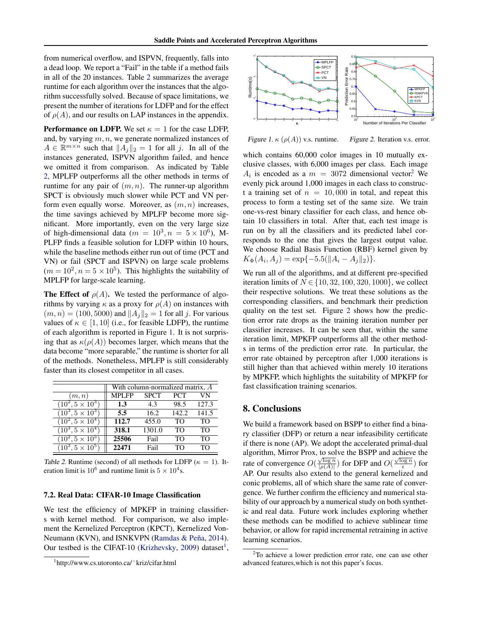from numerical overflow, and ISPVN, frequently, falls into a dead loop. We report a "Fail" in the table if a method fails in all of the 20 instances. Table 2 summarizes the average runtime for each algorithm over the instances that the algorithm successfully solved. Because of space limitations, we present the number of iterations for LDFP and for the effect of  $\rho(A)$ , and our results on LAP instances in the appendix.

**Performance on LDFP.** We set  $\kappa = 1$  for the case LDFP, and, by varying  $m, n$ , we generate normalized instances of  $A \in \mathbb{R}^{m \times n}$  such that  $||A_j||_2 = 1$  for all j. In all of the instances generated, ISPVN algorithm failed, and hence we omitted it from comparison. As indicated by Table 2, MPLFP outperforms all the other methods in terms of runtime for any pair of  $(m, n)$ . The runner-up algorithm SPCT is obviously much slower while PCT and VN perform even equally worse. Moreover, as  $(m, n)$  increases, the time savings achieved by MPLFP become more significant. More importantly, even on the very large size of high-dimensional data ( $m = 10^3, n = 5 \times 10^6$ ), M-PLFP finds a feasible solution for LDFP within 10 hours, while the baseline methods either run out of time (PCT and VN) or fail (SPCT and ISPVN) on large scale problems  $(m = 10<sup>2</sup>, n = 5 \times 10<sup>5</sup>)$ . This highlights the suitability of MPLFP for large-scale learning.

The Effect of  $\rho(A)$ . We tested the performance of algorithms by varying  $\kappa$  as a proxy for  $\rho(A)$  on instances with  $(m, n) = (100, 5000)$  and  $||A_j||_2 = 1$  for all j. For various values of  $\kappa \in [1, 10]$  (i.e., for feasible LDFP), the runtime of each algorithm is reported in Figure 1. It is not surprising that as  $\kappa(\rho(A))$  becomes larger, which means that the data become "more separable," the runtime is shorter for all of the methods. Nonetheless, MPLFP is still considerably faster than its closest competitor in all cases.

|                                | With column-normalized matrix, A |             |            |       |  |
|--------------------------------|----------------------------------|-------------|------------|-------|--|
| (m, n)                         | <b>MPLFP</b>                     | <b>SPCT</b> | <b>PCT</b> |       |  |
| $(10^2, 5 \times 10^3)$        | 1.3                              | 4.3         | 98.5       | 127.3 |  |
| $\sqrt{(10^3, 5 \times 10^3)}$ | 5.5                              | 16.2        | 142.2.     | 141.5 |  |
| $\sqrt{(10^2, 5 \times 10^4)}$ | 112.7                            | 455.0       | TO         | TO    |  |
| $\sqrt{(10^3, 5 \times 10^4)}$ | 318.1                            | 1301.0      | TO         | TO    |  |
| $(10^2, 5 \times 10^5)$        | 25506                            | Fail        | TO         | TΟ    |  |
| $(10^3, 5 \times 10^5)$        | 22471                            | Fail        | TO         | TΩ    |  |

Table 2. Runtime (second) of all methods for LDFP ( $\kappa = 1$ ). Iteration limit is  $10^6$  and runtime limit is  $5 \times 10^4$ s.

# 7.2. Real Data: CIFAR-10 Image Classification

We test the efficiency of MPKFP in training classifiers with kernel method. For comparison, we also implement the Kernelized Perceptron (KPCT), Kernelized Von-Neumann (KVN), and ISNKVPN (Ramdas & Peña, [2014\)](#page-8-0). Our testbed is the CIFAT-10 [\(Krizhevsky,](#page-8-0) [2009\)](#page-8-0) dataset<sup>1</sup>,



Figure 1.  $\kappa$  ( $\rho(A)$ ) v.s. runtime. Figure 2. Iteration v.s. error.

which contains 60,000 color images in 10 mutually exclusive classes, with 6,000 images per class. Each image  $A_i$  is encoded as a  $m = 3072$  dimensional vector.<sup>2</sup> We evenly pick around 1,000 images in each class to construct a training set of  $n = 10,000$  in total, and repeat this process to form a testing set of the same size. We train one-vs-rest binary classifier for each class, and hence obtain 10 classifiers in total. After that, each test image is run on by all the classifiers and its predicted label corresponds to the one that gives the largest output value. We choose Radial Basis Function (RBF) kernel given by  $K_{\Phi}(A_i, A_j) = \exp\{-5.5(\|A_i - A_j\|_2)\}.$ 

We run all of the algorithms, and at different pre-specified iteration limits of  $N \in \{10, 32, 100, 320, 1000\}$ , we collect their respective solutions. We treat these solutions as the corresponding classifiers, and benchmark their prediction quality on the test set. Figure 2 shows how the prediction error rate drops as the training iteration number per classifier increases. It can be seen that, within the same iteration limit, MPKFP outperforms all the other methods in terms of the prediction error rate. In particular, the error rate obtained by perceptron after 1,000 iterations is still higher than that achieved within merely 10 iterations by MPKFP, which highlights the suitability of MPKFP for fast classification training scenarios.

# 8. Conclusions

We build a framework based on BSPP to either find a binary classifier (DFP) or return a near infeasibility certificate if there is none (AP). We adopt the accelerated primal-dual algorithm, Mirror Prox, to solve the BSPP and achieve the example the set of convergence  $O(\frac{\sqrt{\log n}}{|\rho(A)|})$  for DFP and  $O(\frac{\sqrt{\log n}}{\epsilon})$  for AP. Our results also extend to the general kernelized and conic problems, all of which share the same rate of convergence. We further confirm the efficiency and numerical stability of our approach by a numerical study on both synthetic and real data. Future work includes exploring whether these methods can be modified to achieve sublinear time behavior, or allow for rapid incremental retraining in active learning scenarios.

<sup>1</sup> http://www.cs.utoronto.ca/˜kriz/cifar.html

 $2$ To achieve a lower prediction error rate, one can use other advanced features,which is not this paper's focus.